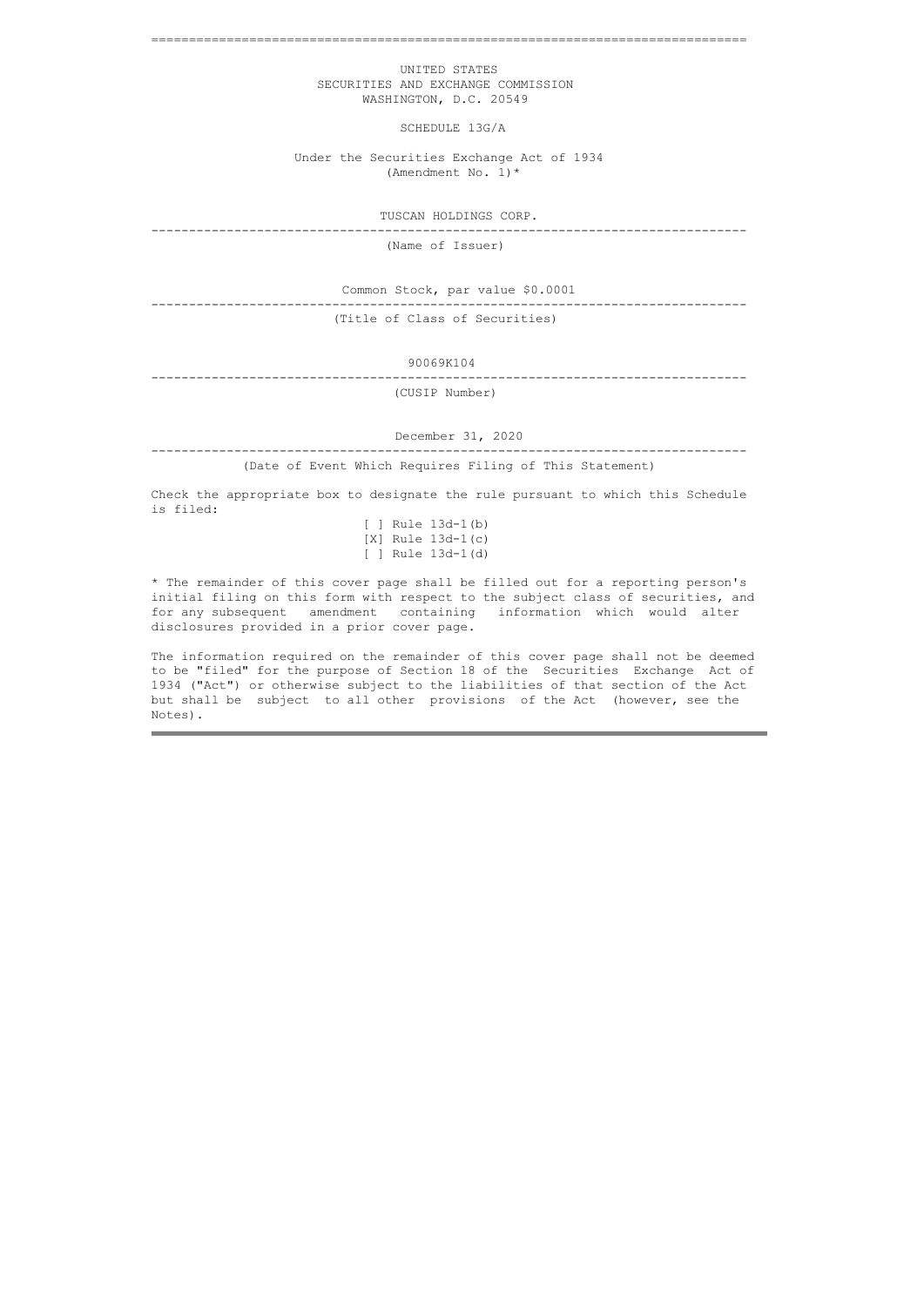===============================================================================

 UNITED STATES SECURITIES AND EXCHANGE COMMISSION WASHINGTON, D.C. 20549

SCHEDULE 13G/A

 Under the Securities Exchange Act of 1934 (Amendment No. 1)\*

TUSCAN HOLDINGS CORP. -------------------------------------------------------------------------------

(Name of Issuer)

Common Stock, par value \$0.0001

-------------------------------------------------------------------------------

(Title of Class of Securities)

90069K104

------------------------------------------------------------------------------- (CUSIP Number)

December 31, 2020

-------------------------------------------------------------------------------

(Date of Event Which Requires Filing of This Statement)

Check the appropriate box to designate the rule pursuant to which this Schedule is filed:

|  |  | [ ] Rule 13d-1(b) |
|--|--|-------------------|
|  |  | [X] Rule 13d-1(c) |
|  |  | [ ] Rule 13d-1(d) |

\* The remainder of this cover page shall be filled out for a reporting person's initial filing on this form with respect to the subject class of securities, and for any subsequent amendment containing information which would alter disclosures provided in a prior cover page.

The information required on the remainder of this cover page shall not be deemed to be "filed" for the purpose of Section 18 of the Securities Exchange Act of 1934 ("Act") or otherwise subject to the liabilities of that section of the Act but shall be subject to all other provisions of the Act (however, see the Notes).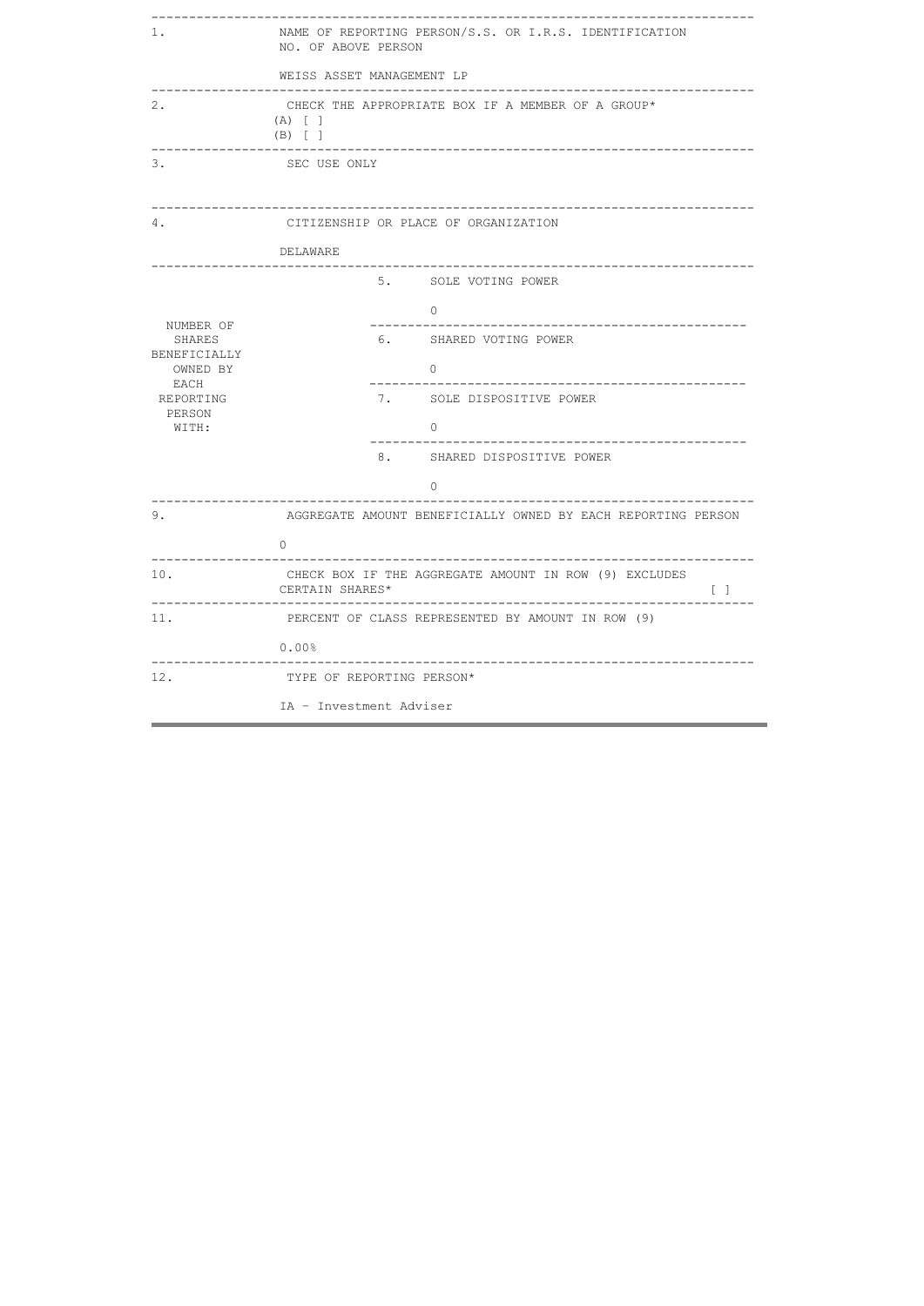| NAME OF REPORTING PERSON/S.S. OR I.R.S. IDENTIFICATION<br>1.<br>NO. OF ABOVE PERSON |                                                                                             |  |  |  |  |  |  |
|-------------------------------------------------------------------------------------|---------------------------------------------------------------------------------------------|--|--|--|--|--|--|
|                                                                                     | WEISS ASSET MANAGEMENT LP                                                                   |  |  |  |  |  |  |
| 2.                                                                                  | CHECK THE APPROPRIATE BOX IF A MEMBER OF A GROUP*<br>$(A)$ [ ]<br>$(B)$ [ ]                 |  |  |  |  |  |  |
| 3.                                                                                  | SEC USE ONLY                                                                                |  |  |  |  |  |  |
| 4.                                                                                  | CITIZENSHIP OR PLACE OF ORGANIZATION                                                        |  |  |  |  |  |  |
|                                                                                     | DELAWARE<br>-------------------------<br>---------------                                    |  |  |  |  |  |  |
|                                                                                     | 5. SOLE VOTING POWER                                                                        |  |  |  |  |  |  |
|                                                                                     | $\Omega$                                                                                    |  |  |  |  |  |  |
| NUMBER OF<br>SHARES                                                                 | 6. SHARED VOTING POWER                                                                      |  |  |  |  |  |  |
| BENEFICIALLY<br>OWNED BY<br>EACH<br>REPORTING<br>PERSON<br>WITH:                    | $\Omega$                                                                                    |  |  |  |  |  |  |
|                                                                                     | 7. SOLE DISPOSITIVE POWER                                                                   |  |  |  |  |  |  |
|                                                                                     | $\cap$                                                                                      |  |  |  |  |  |  |
|                                                                                     | 8. SHARED DISPOSITIVE POWER                                                                 |  |  |  |  |  |  |
|                                                                                     | $\Omega$                                                                                    |  |  |  |  |  |  |
| 9.                                                                                  | AGGREGATE AMOUNT BENEFICIALLY OWNED BY EACH REPORTING PERSON                                |  |  |  |  |  |  |
|                                                                                     | 0                                                                                           |  |  |  |  |  |  |
| 10.                                                                                 | CHECK BOX IF THE AGGREGATE AMOUNT IN ROW (9) EXCLUDES<br>$\lceil \rceil$<br>CERTAIN SHARES* |  |  |  |  |  |  |
| 11.                                                                                 | PERCENT OF CLASS REPRESENTED BY AMOUNT IN ROW (9)                                           |  |  |  |  |  |  |
|                                                                                     | $0.00\%$<br>__________________                                                              |  |  |  |  |  |  |
| 12.                                                                                 | TYPE OF REPORTING PERSON*                                                                   |  |  |  |  |  |  |
|                                                                                     | IA - Investment Adviser                                                                     |  |  |  |  |  |  |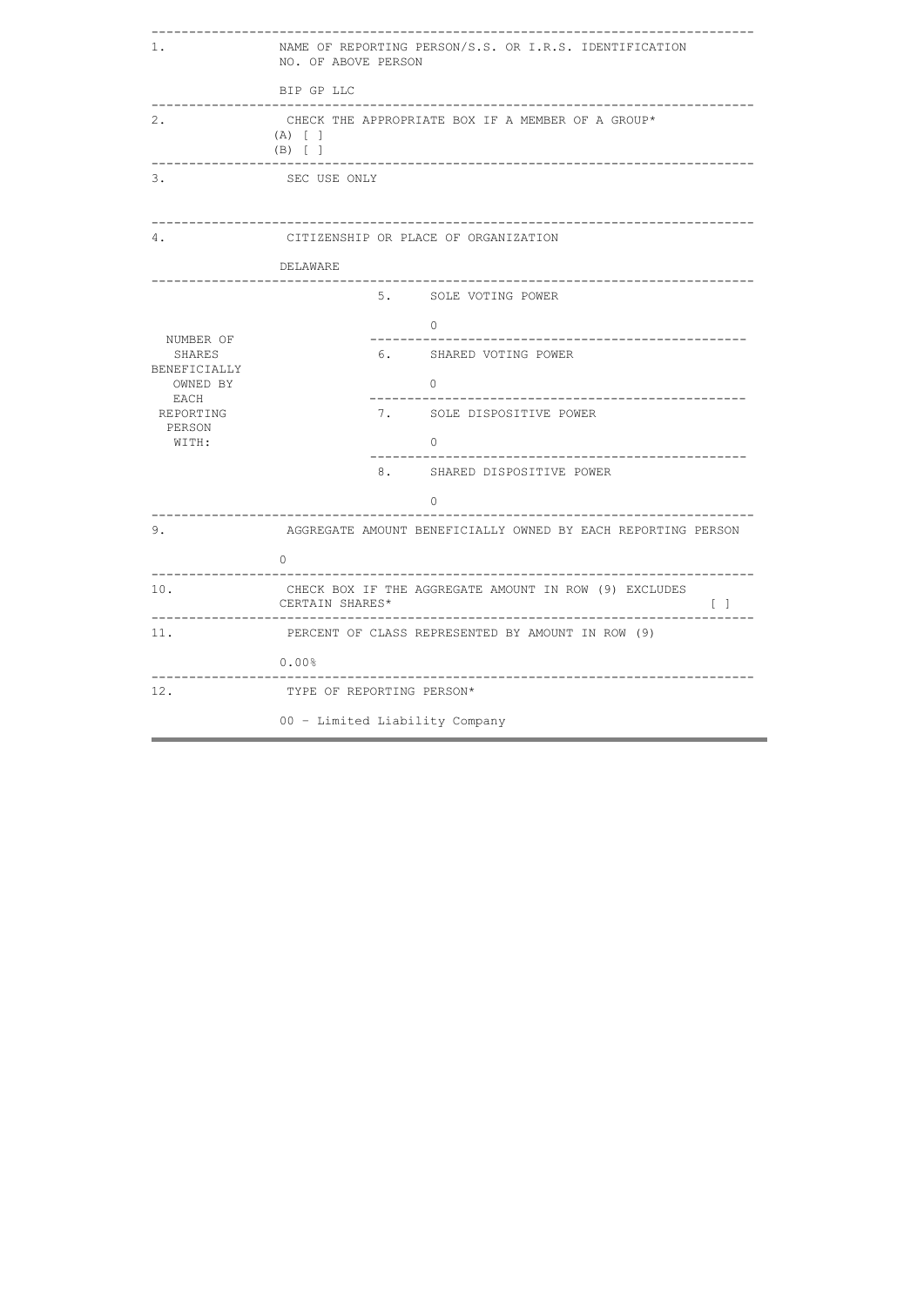| 1.                                                                   | NAME OF REPORTING PERSON/S.S. OR I.R.S. IDENTIFICATION<br>NO. OF ABOVE PERSON      |  |  |  |  |  |
|----------------------------------------------------------------------|------------------------------------------------------------------------------------|--|--|--|--|--|
|                                                                      | BIP GP LLC                                                                         |  |  |  |  |  |
| 2.                                                                   | CHECK THE APPROPRIATE BOX IF A MEMBER OF A GROUP*<br>$(A)$ [ ]<br>$(B)$ [ ]        |  |  |  |  |  |
| 3.                                                                   | SEC USE ONLY                                                                       |  |  |  |  |  |
| 4.                                                                   | CITIZENSHIP OR PLACE OF ORGANIZATION                                               |  |  |  |  |  |
|                                                                      | DELAWARE                                                                           |  |  |  |  |  |
|                                                                      | 5. SOLE VOTING POWER                                                               |  |  |  |  |  |
| NUMBER OF<br>SHARES<br>BENEFICIALLY<br>OWNED BY<br>EACH<br>REPORTING | $\cap$                                                                             |  |  |  |  |  |
|                                                                      | 6. SHARED VOTING POWER                                                             |  |  |  |  |  |
|                                                                      | $\bigcap$                                                                          |  |  |  |  |  |
|                                                                      | 7. SOLE DISPOSITIVE POWER                                                          |  |  |  |  |  |
| PERSON<br>WITH:                                                      | $\cap$                                                                             |  |  |  |  |  |
|                                                                      | 8. SHARED DISPOSITIVE POWER                                                        |  |  |  |  |  |
|                                                                      | $\Omega$                                                                           |  |  |  |  |  |
| 9.                                                                   | AGGREGATE AMOUNT BENEFICIALLY OWNED BY EACH REPORTING PERSON                       |  |  |  |  |  |
|                                                                      | $\Omega$                                                                           |  |  |  |  |  |
| 10.                                                                  | CHECK BOX IF THE AGGREGATE AMOUNT IN ROW (9) EXCLUDES<br>CERTAIN SHARES*<br>$\Box$ |  |  |  |  |  |
| 11.                                                                  | PERCENT OF CLASS REPRESENTED BY AMOUNT IN ROW (9)                                  |  |  |  |  |  |
|                                                                      | 0.00%                                                                              |  |  |  |  |  |
| 12.                                                                  | TYPE OF REPORTING PERSON*                                                          |  |  |  |  |  |
|                                                                      | 00 - Limited Liability Company                                                     |  |  |  |  |  |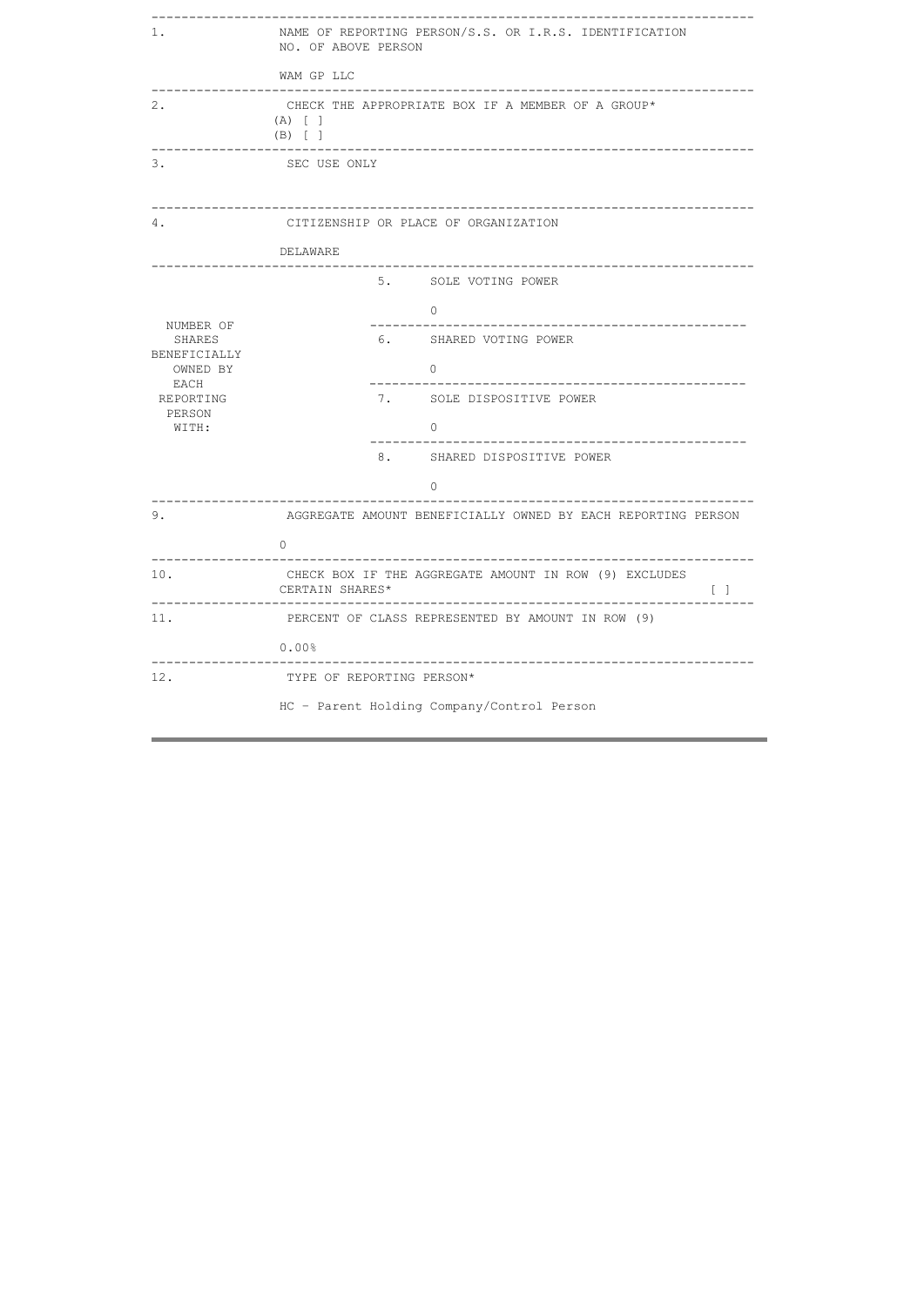| 1.                                                   | NAME OF REPORTING PERSON/S.S. OR I.R.S. IDENTIFICATION<br>NO. OF ABOVE PERSON        |  |  |  |  |  |
|------------------------------------------------------|--------------------------------------------------------------------------------------|--|--|--|--|--|
|                                                      | WAM GP LLC                                                                           |  |  |  |  |  |
| 2.                                                   | CHECK THE APPROPRIATE BOX IF A MEMBER OF A GROUP*<br>$(A)$ [ ]<br>$(B)$ [ ]          |  |  |  |  |  |
| 3.                                                   | SEC USE ONLY                                                                         |  |  |  |  |  |
| 4.                                                   | CITIZENSHIP OR PLACE OF ORGANIZATION                                                 |  |  |  |  |  |
|                                                      | DELAWARE                                                                             |  |  |  |  |  |
|                                                      | 5. SOLE VOTING POWER                                                                 |  |  |  |  |  |
|                                                      | $\bigcirc$                                                                           |  |  |  |  |  |
| NUMBER OF<br>SHARES                                  | 6. SHARED VOTING POWER                                                               |  |  |  |  |  |
| <b>BENEFICIALLY</b><br>OWNED BY<br>EACH<br>REPORTING | $\Omega$                                                                             |  |  |  |  |  |
|                                                      | 7. SOLE DISPOSITIVE POWER                                                            |  |  |  |  |  |
| PERSON<br>WITH:                                      | $\Omega$                                                                             |  |  |  |  |  |
|                                                      | 8. SHARED DISPOSITIVE POWER                                                          |  |  |  |  |  |
|                                                      | 0                                                                                    |  |  |  |  |  |
| 9.                                                   | --------------------<br>AGGREGATE AMOUNT BENEFICIALLY OWNED BY EACH REPORTING PERSON |  |  |  |  |  |
|                                                      | 0                                                                                    |  |  |  |  |  |
| 10.                                                  | CHECK BOX IF THE AGGREGATE AMOUNT IN ROW (9) EXCLUDES<br>CERTAIN SHARES*<br>$\Box$   |  |  |  |  |  |
| 11.                                                  | PERCENT OF CLASS REPRESENTED BY AMOUNT IN ROW (9)                                    |  |  |  |  |  |
|                                                      | 0.00%                                                                                |  |  |  |  |  |
| 12.                                                  | TYPE OF REPORTING PERSON*                                                            |  |  |  |  |  |
|                                                      | HC - Parent Holding Company/Control Person                                           |  |  |  |  |  |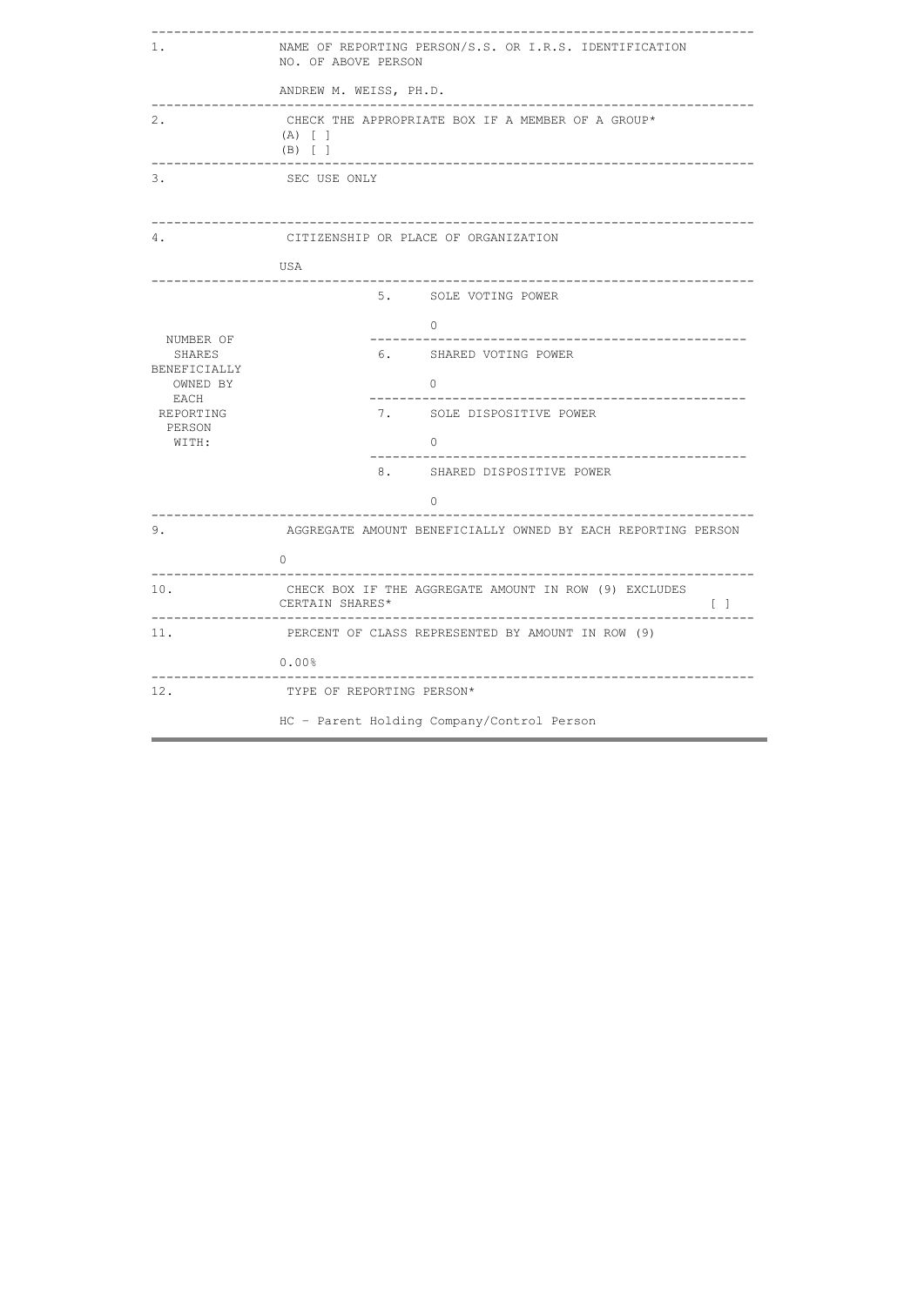| 1.                                   | NAME OF REPORTING PERSON/S.S. OR I.R.S. IDENTIFICATION<br>NO. OF ABOVE PERSON                                                                              |  |  |  |  |  |  |  |
|--------------------------------------|------------------------------------------------------------------------------------------------------------------------------------------------------------|--|--|--|--|--|--|--|
|                                      | ANDREW M. WEISS, PH.D.                                                                                                                                     |  |  |  |  |  |  |  |
| 2.                                   | <u> - - - - - - - - - - - - - -</u><br>------------------------------------<br>CHECK THE APPROPRIATE BOX IF A MEMBER OF A GROUP*<br>$(A)$ [ ]<br>$(B)$ [ ] |  |  |  |  |  |  |  |
| 3.                                   | SEC USE ONLY                                                                                                                                               |  |  |  |  |  |  |  |
| 4.                                   | CITIZENSHIP OR PLACE OF ORGANIZATION                                                                                                                       |  |  |  |  |  |  |  |
|                                      | USA                                                                                                                                                        |  |  |  |  |  |  |  |
|                                      | ------------<br>5. SOLE VOTING POWER                                                                                                                       |  |  |  |  |  |  |  |
|                                      | $\bigcirc$                                                                                                                                                 |  |  |  |  |  |  |  |
| NUMBER OF<br>SHARES                  | 6. SHARED VOTING POWER                                                                                                                                     |  |  |  |  |  |  |  |
| BENEFICIALLY<br>OWNED BY             | $\Omega$                                                                                                                                                   |  |  |  |  |  |  |  |
| EACH<br>REPORTING<br>PERSON<br>WITH: | 7. SOLE DISPOSITIVE POWER                                                                                                                                  |  |  |  |  |  |  |  |
|                                      | $\Omega$                                                                                                                                                   |  |  |  |  |  |  |  |
|                                      | _____________________________<br>8. SHARED DISPOSITIVE POWER                                                                                               |  |  |  |  |  |  |  |
|                                      | 0                                                                                                                                                          |  |  |  |  |  |  |  |
| 9.                                   | AGGREGATE AMOUNT BENEFICIALLY OWNED BY EACH REPORTING PERSON                                                                                               |  |  |  |  |  |  |  |
|                                      | $\Omega$                                                                                                                                                   |  |  |  |  |  |  |  |
| 10.                                  | CHECK BOX IF THE AGGREGATE AMOUNT IN ROW (9) EXCLUDES<br>CERTAIN SHARES*<br>$\Box$                                                                         |  |  |  |  |  |  |  |
| 11.                                  | PERCENT OF CLASS REPRESENTED BY AMOUNT IN ROW (9)                                                                                                          |  |  |  |  |  |  |  |
|                                      | $0.00\%$                                                                                                                                                   |  |  |  |  |  |  |  |
| 12.                                  | TYPE OF REPORTING PERSON*                                                                                                                                  |  |  |  |  |  |  |  |
|                                      | HC - Parent Holding Company/Control Person                                                                                                                 |  |  |  |  |  |  |  |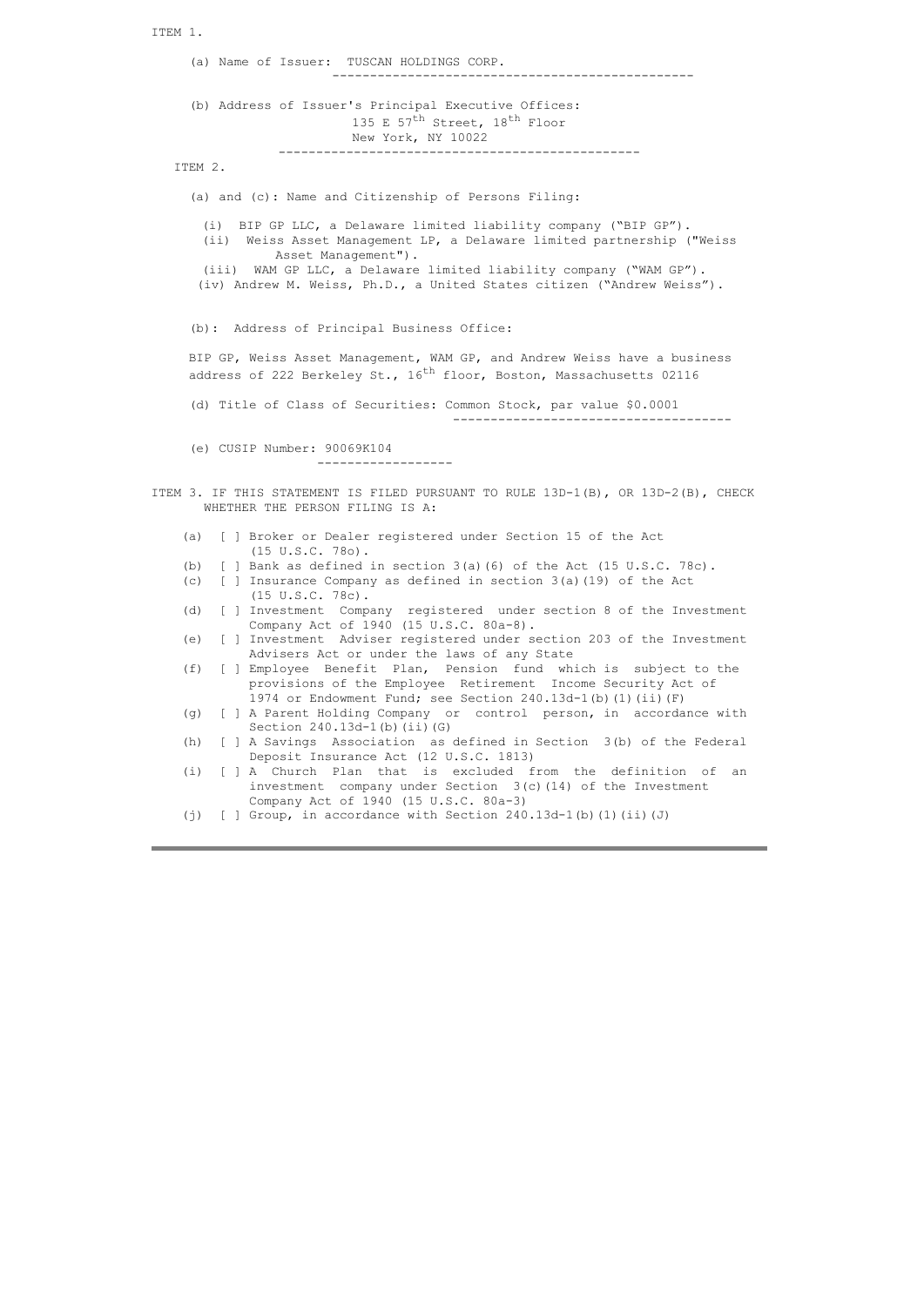ITEM 1. (a) Name of Issuer: TUSCAN HOLDINGS CORP. ------------------------------------------------ (b) Address of Issuer's Principal Executive Offices: 135 E 57<sup>th</sup> Street, 18<sup>th</sup> Floor New York, NY 10022 ------------------------------------------------ ITEM 2. (a) and (c): Name and Citizenship of Persons Filing: (i) BIP GP LLC, a Delaware limited liability company ("BIP GP"). (ii) Weiss Asset Management LP, a Delaware limited partnership ("Weiss Asset Management"). (iii) WAM GP LLC, a Delaware limited liability company ("WAM GP"). (iv) Andrew M. Weiss, Ph.D., a United States citizen ("Andrew Weiss"). (b): Address of Principal Business Office: BIP GP, Weiss Asset Management, WAM GP, and Andrew Weiss have a business address of 222 Berkeley St.,  $16^{th}$  floor, Boston, Massachusetts 02116 (d) Title of Class of Securities: Common Stock, par value \$0.0001 ------------------------------------- (e) CUSIP Number: 90069K104 ------------------ ITEM 3. IF THIS STATEMENT IS FILED PURSUANT TO RULE 13D-1(B), OR 13D-2(B), CHECK WHETHER THE PERSON FILING IS A: (a) [ ] Broker or Dealer registered under Section 15 of the Act (15 U.S.C. 78o).<br>(b)  $\begin{bmatrix} 1 & \text{Bank as defined} \end{bmatrix}$ [ ] Bank as defined in section  $3(a)$  (6) of the Act (15 U.S.C. 78c). (c) [ ] Insurance Company as defined in section 3(a)(19) of the Act (15 U.S.C. 78c). (d) [ ] Investment Company registered under section 8 of the Investment Company Act of 1940 (15 U.S.C. 80a-8). (e) [ ] Investment Adviser registered under section 203 of the Investment Advisers Act or under the laws of any State (f) [ ] Employee Benefit Plan, Pension fund which is subject to the provisions of the Employee Retirement Income Security Act of 1974 or Endowment Fund; see Section 240.13d-1(b)(1)(ii)(F) (g) [ ] A Parent Holding Company or control person, in accordance with Section  $240.13d-1(b)$  (ii)(G) (h) [ ] A Savings Association as defined in Section 3(b) of the Federal Deposit Insurance Act (12 U.S.C. 1813) (i) [ ] A Church Plan that is excluded from the definition of an investment company under Section 3(c)(14) of the Investment Company Act of 1940 (15 U.S.C. 80a-3)

(j)  $[ ]$  Group, in accordance with Section 240.13d-1(b)(1)(ii)(J)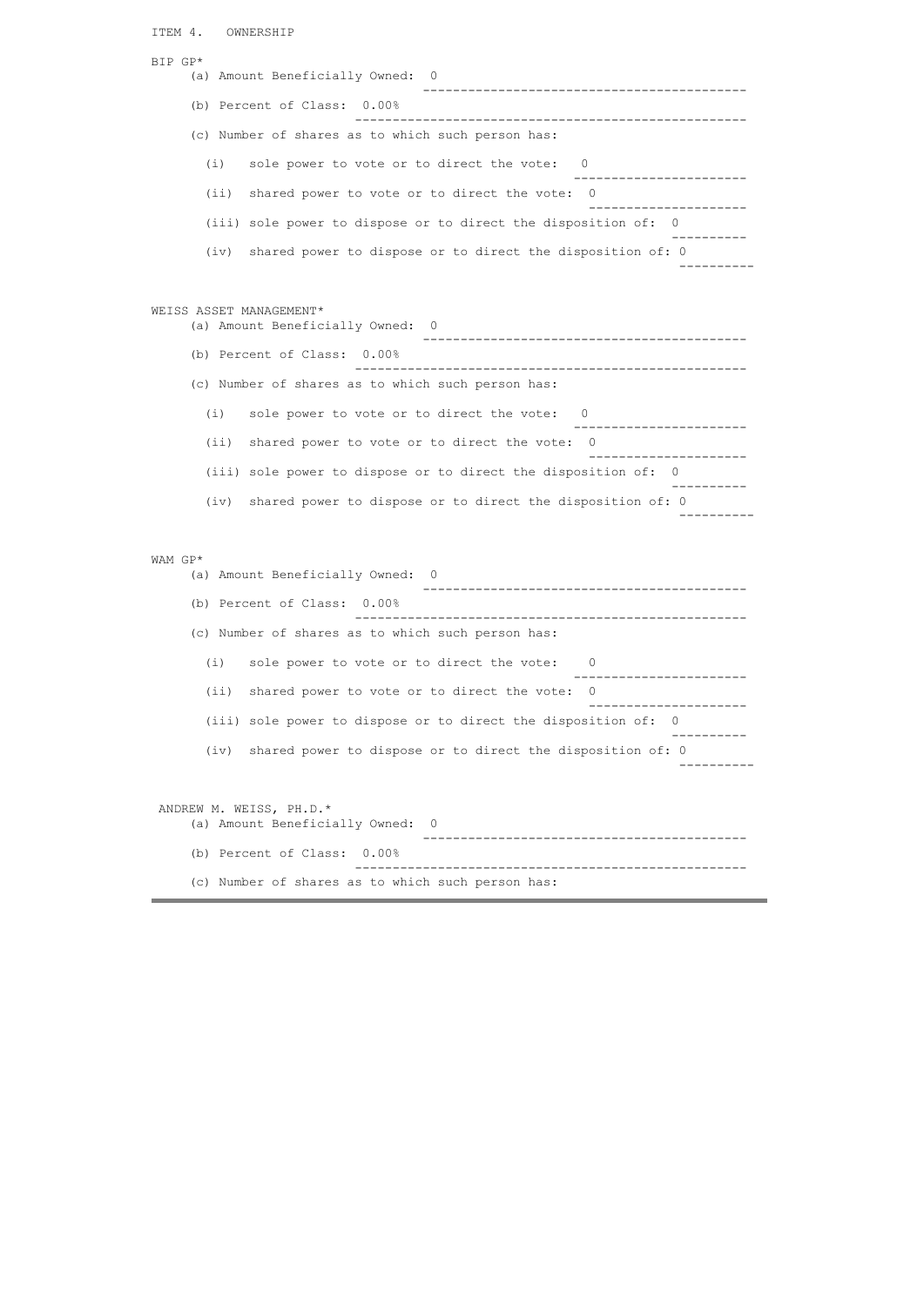```
ITEM 4. OWNERSHIP 
BIP GP* 
    (a) Amount Beneficially Owned: 0
                             -------------------------------------------
    (b) Percent of Class: 0.00% 
                          ----------------------------------------------------
     (c) Number of shares as to which such person has: 
      (i) sole power to vote or to direct the vote: 0 
                                             -----------------------
      (ii) shared power to vote or to direct the vote: 0
 ---------------------
      (iii) sole power to dispose or to direct the disposition of: 0 
 ----------
      (iv) shared power to dispose or to direct the disposition of: 0
 ----------
WEISS ASSET MANAGEMENT* 
    (a) Amount Beneficially Owned: 0
                                -------------------------------------------
     (b) Percent of Class: 0.00% 
                          ----------------------------------------------------
     (c) Number of shares as to which such person has: 
      (i) sole power to vote or to direct the vote: 0 
 -----------------------
      (ii) shared power to vote or to direct the vote: 0
 ---------------------
 (iii) sole power to dispose or to direct the disposition of: 0 
 ----------
 (iv) shared power to dispose or to direct the disposition of: 0
 ----------
WAM GP* 
    (a) Amount Beneficially Owned: 0
                             -------------------------------------------
     (b) Percent of Class: 0.00% 
                          ----------------------------------------------------
     (c) Number of shares as to which such person has: 
      (i) sole power to vote or to direct the vote: 0 
                                             -----------------------
      (ii) shared power to vote or to direct the vote: 0
 ---------------------
      (iii) sole power to dispose or to direct the disposition of: 0 
 ----------
      (iv) shared power to dispose or to direct the disposition of: 0
 ----------
 ANDREW M. WEISS, PH.D.* 
    (a) Amount Beneficially Owned: 0
                            -------------------------------------------
     (b) Percent of Class: 0.00% 
                           ----------------------------------------------------
     (c) Number of shares as to which such person has:
```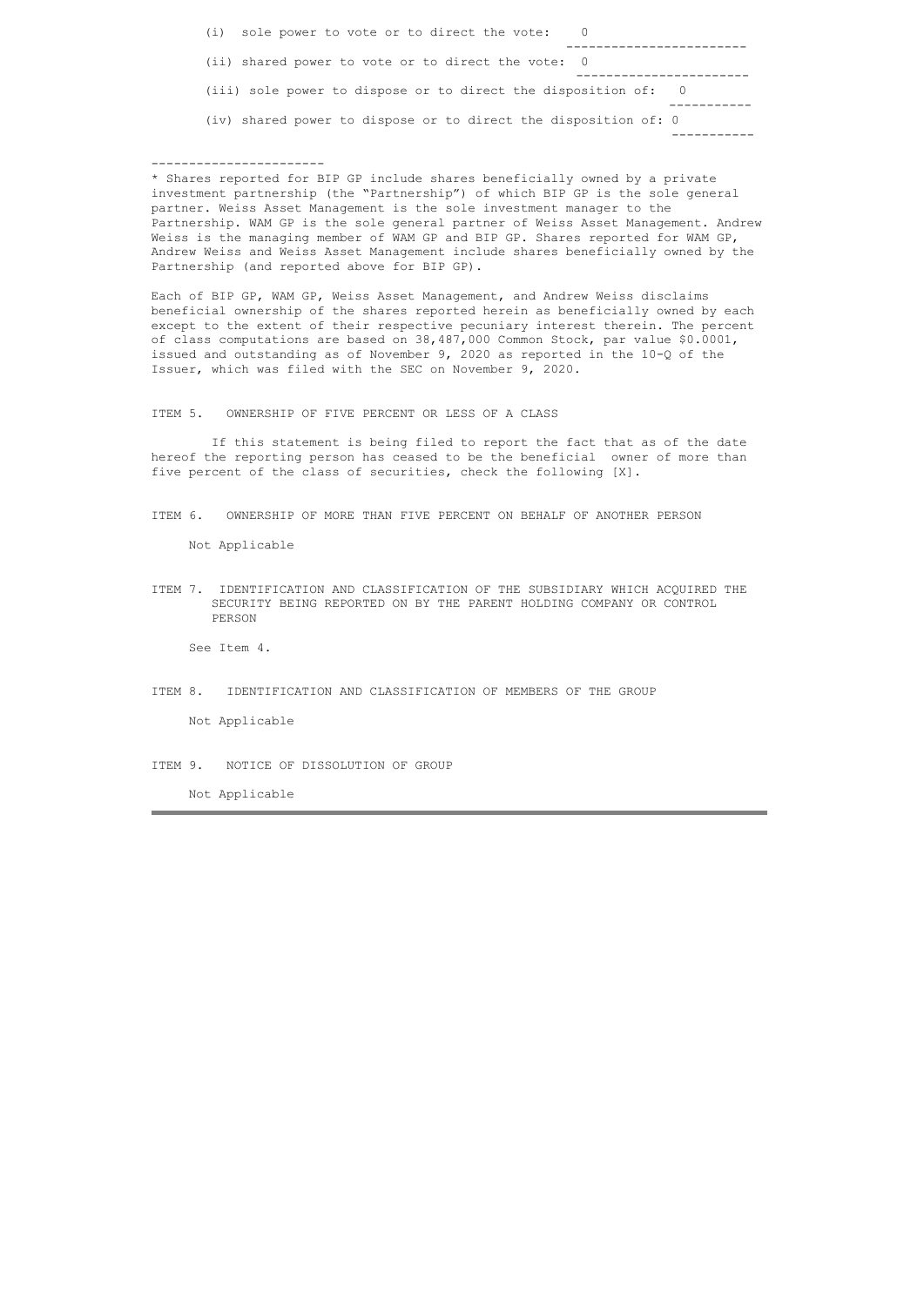|  | (i) sole power to vote or to direct the vote:                   |  |
|--|-----------------------------------------------------------------|--|
|  | (ii) shared power to vote or to direct the vote: 0              |  |
|  | (iii) sole power to dispose or to direct the disposition of: 0  |  |
|  | (iv) shared power to dispose or to direct the disposition of: 0 |  |
|  |                                                                 |  |

\* Shares reported for BIP GP include shares beneficially owned by a private investment partnership (the "Partnership") of which BIP GP is the sole general partner. Weiss Asset Management is the sole investment manager to the Partnership. WAM GP is the sole general partner of Weiss Asset Management. Andrew Weiss is the managing member of WAM GP and BIP GP. Shares reported for WAM GP, Andrew Weiss and Weiss Asset Management include shares beneficially owned by the Partnership (and reported above for BIP GP).

Each of BIP GP, WAM GP, Weiss Asset Management, and Andrew Weiss disclaims beneficial ownership of the shares reported herein as beneficially owned by each except to the extent of their respective pecuniary interest therein. The percent of class computations are based on 38,487,000 Common Stock, par value \$0.0001, issued and outstanding as of November 9, 2020 as reported in the 10-Q of the Issuer, which was filed with the SEC on November 9, 2020.

ITEM 5. OWNERSHIP OF FIVE PERCENT OR LESS OF A CLASS

 If this statement is being filed to report the fact that as of the date hereof the reporting person has ceased to be the beneficial owner of more than five percent of the class of securities, check the following [X].

ITEM 6. OWNERSHIP OF MORE THAN FIVE PERCENT ON BEHALF OF ANOTHER PERSON

Not Applicable

-----------------------

ITEM 7. IDENTIFICATION AND CLASSIFICATION OF THE SUBSIDIARY WHICH ACQUIRED THE SECURITY BEING REPORTED ON BY THE PARENT HOLDING COMPANY OR CONTROL PERSON

See Item 4.

ITEM 8. IDENTIFICATION AND CLASSIFICATION OF MEMBERS OF THE GROUP

Not Applicable

ITEM 9. NOTICE OF DISSOLUTION OF GROUP

Not Applicable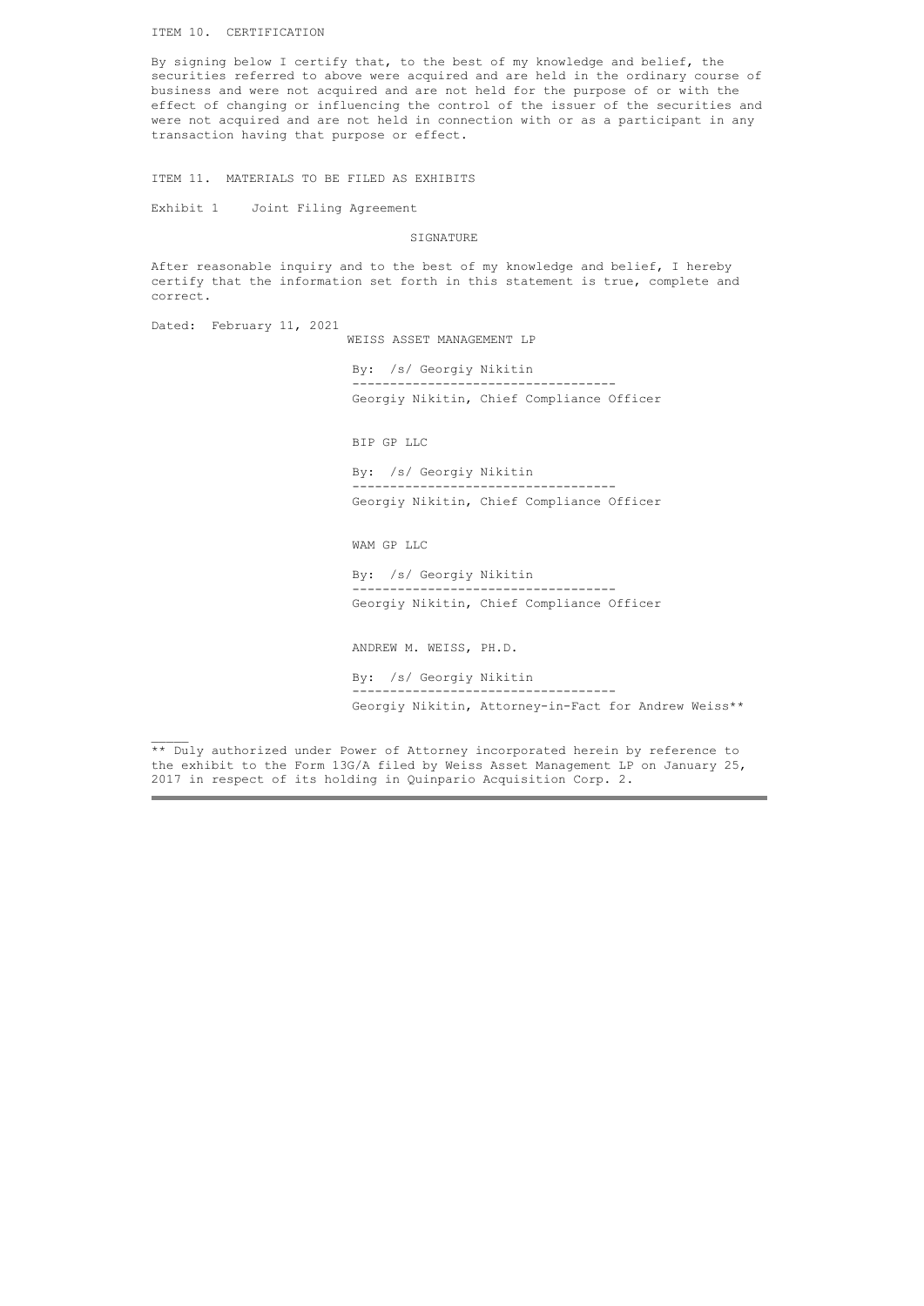ITEM 10. CERTIFICATION

By signing below I certify that, to the best of my knowledge and belief, the securities referred to above were acquired and are held in the ordinary course of business and were not acquired and are not held for the purpose of or with the effect of changing or influencing the control of the issuer of the securities and were not acquired and are not held in connection with or as a participant in any transaction having that purpose or effect.

ITEM 11. MATERIALS TO BE FILED AS EXHIBITS

Joint Filing Agreement Exhibit 1

STCNATURE

After reasonable inquiry and to the best of my knowledge and belief, I hereby certify that the information set forth in this statement is true, complete and correct.

Dated: February 11, 2021

 $\mathcal{L}_\mathcal{L}$ 

WEISS ASSET MANAGEMENT LP

By: /s/ Georgiy Nikitin ----------------------------------- Georgiy Nikitin, Chief Compliance Officer

BIP GP LLC

By: /s/ Georgiy Nikitin ----------------------------------- Georgiy Nikitin, Chief Compliance Officer

WAM GP LLC

By: /s/ Georgiy Nikitin ----------------------------------- Georgiy Nikitin, Chief Compliance Officer

ANDREW M. WEISS, PH.D.

By: /s/ Georgiy Nikitin ----------------------------------- Georgiy Nikitin, Attorney-in-Fact for Andrew Weiss\*\*

\*\* Duly authorized under Power of Attorney incorporated herein by reference to the exhibit to the Form 13G/A filed by Weiss Asset Management LP on January 25, 2017 in respect of its holding in Quinpario Acquisition Corp. 2.